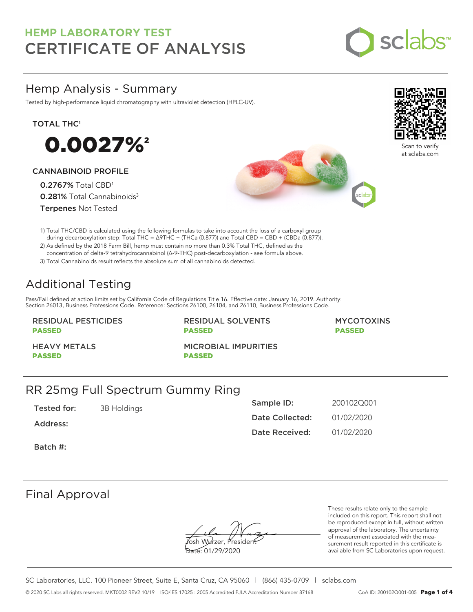

## Hemp Analysis - Summary

Tested by high-performance liquid chromatography with ultraviolet detection (HPLC-UV).

## TOTAL THC<sup>1</sup>



## CANNABINOID PROFILE

0.2767% Total CBD<sup>1</sup> 0.281% Total Cannabinoids<sup>3</sup> Terpenes Not Tested





Scan to verify at sclabs.com

1) Total THC/CBD is calculated using the following formulas to take into account the loss of a carboxyl group during decarboxylation step: Total THC = ∆9THC + (THCa (0.877)) and Total CBD = CBD + (CBDa (0.877)).

2) As defined by the 2018 Farm Bill, hemp must contain no more than 0.3% Total THC, defined as the concentration of delta-9 tetrahydrocannabinol (Δ-9-THC) post-decarboxylation - see formula above.

3) Total Cannabinoids result reflects the absolute sum of all cannabinoids detected.

# Additional Testing

Pass/Fail defined at action limits set by California Code of Regulations Title 16. Effective date: January 16, 2019. Authority: Section 26013, Business Professions Code. Reference: Sections 26100, 26104, and 26110, Business Professions Code.

## RESIDUAL PESTICIDES PASSED

RESIDUAL SOLVENTS PASSED

MYCOTOXINS PASSED

HEAVY METALS PASSED

MICROBIAL IMPURITIES PASSED

## RR 25mg Full Spectrum Gummy Ring

Tested for: 3B Holdings

Address:

| Sample ID:            | 200102Q001 |
|-----------------------|------------|
| Date Collected:       | 01/02/2020 |
| <b>Date Received:</b> | 01/02/2020 |

Batch #:

## Final Approval

osh Wurzer, Presider

Date: 01/29/2020

These results relate only to the sample included on this report. This report shall not be reproduced except in full, without written approval of the laboratory. The uncertainty of measurement associated with the measurement result reported in this certificate is available from SC Laboratories upon request.

SC Laboratories, LLC. 100 Pioneer Street, Suite E, Santa Cruz, CA 95060 | (866) 435-0709 | sclabs.com © 2020 SC Labs all rights reserved. MKT0002 REV2 10/19 ISO/IES 17025 : 2005 Accredited PJLA Accreditation Number 87168 CoA ID: 200102Q001-005 **Page 1 of 4**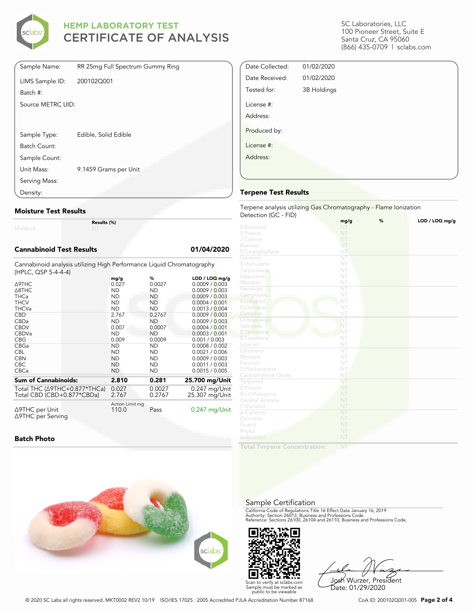

| Sample Name:      | RR 25mg Full Spectrum Gummy Ring |
|-------------------|----------------------------------|
| LIMS Sample ID:   | 200102Q001                       |
| Batch #:          |                                  |
| Source METRC UID: |                                  |
|                   |                                  |
|                   |                                  |
| Sample Type:      | Edible, Solid Edible             |
| Batch Count:      |                                  |
| Sample Count:     |                                  |
| Unit Mass:        | 9.1459 Grams per Unit            |
| Serving Mass:     |                                  |
| Density:          |                                  |

## **Moisture Test Results**

Moisture

**Results (%)**

#### **Cannabinoid Test Results 01/04/2020**

Cannabinoid analysis utilizing High Performance Liquid Chromatography (HPLC, QSP 5-4-4-4)

| ∆9THC<br>$\triangle$ 8THC<br><b>THCa</b><br><b>THCV</b><br><b>THCVa</b><br><b>CBD</b> | mg/g<br>0.027<br><b>ND</b><br><b>ND</b><br><b>ND</b><br><b>ND</b><br>2.767 | %<br>0.0027<br><b>ND</b><br><b>ND</b><br>ND<br><b>ND</b><br>0.2767 | $LOD / LOQ$ mg/g<br>0.0009 / 0.003<br>0.0009 / 0.003<br>0.0009 / 0.003<br>0.0004 / 0.001<br>0.0013 / 0.004<br>0.0009 / 0.003 |
|---------------------------------------------------------------------------------------|----------------------------------------------------------------------------|--------------------------------------------------------------------|------------------------------------------------------------------------------------------------------------------------------|
| <b>CBDa</b>                                                                           | <b>ND</b>                                                                  | <b>ND</b>                                                          | 0.0009 / 0.003                                                                                                               |
| <b>CBDV</b>                                                                           | 0.007                                                                      | 0.0007                                                             | 0.0004 / 0.001                                                                                                               |
| <b>CBDVa</b>                                                                          | <b>ND</b>                                                                  | <b>ND</b>                                                          | 0.0003 / 0.001                                                                                                               |
| <b>CBG</b>                                                                            | 0.009                                                                      | 0.0009                                                             | 0.001 / 0.003                                                                                                                |
| CBGa                                                                                  | <b>ND</b>                                                                  | <b>ND</b>                                                          | 0.0008 / 0.002                                                                                                               |
| <b>CBL</b>                                                                            | <b>ND</b>                                                                  | <b>ND</b>                                                          | 0.0021 / 0.006                                                                                                               |
| <b>CBN</b>                                                                            | <b>ND</b>                                                                  | <b>ND</b>                                                          | 0.0009 / 0.003                                                                                                               |
| <b>CBC</b>                                                                            | <b>ND</b>                                                                  | <b>ND</b>                                                          | 0.0011 / 0.003                                                                                                               |
| <b>CBCa</b>                                                                           | <b>ND</b>                                                                  | <b>ND</b>                                                          | 0.0015 / 0.005                                                                                                               |
| <b>Sum of Cannabinoids:</b>                                                           | 2.810                                                                      | 0.281                                                              | 25.700 mg/Unit                                                                                                               |
| Total THC $(\Delta$ 9THC+0.877*THCa)                                                  | 0.027                                                                      | 0.0027                                                             | $0.247$ mg/Unit                                                                                                              |
| Total CBD (CBD+0.877*CBDa)                                                            | 2.767                                                                      | 0.2767                                                             | 25.307 mg/Unit                                                                                                               |
| ∆9THC per Unit<br>∆9THC per Serving                                                   | Action Limit mg<br>110.0                                                   | Pass                                                               | $0.247$ mg/Unit                                                                                                              |

#### **Batch Photo**





Josh Wurzer, President Date: 01/29/2020

© 2020 SC Labs all rights reserved. MKT0002 REV2 10/19 ISO/IES 17025 : 2005 Accredited PJLA Accreditation Number 87168 CoA ID: 200102Q001-005 **Page 2 of 4**

SC Laboratories, LLC 100 Pioneer Street, Suite E Santa Cruz, CA 95060 (866) 435-0709 | sclabs.com

| Date Collected: | 01/02/2020  |  |
|-----------------|-------------|--|
| Date Received:  | 01/02/2020  |  |
| Tested for:     | 3B Holdings |  |
| License #:      |             |  |
| Address:        |             |  |
| Produced by:    |             |  |
| License #:      |             |  |
| Address:        |             |  |
|                 |             |  |
|                 |             |  |

## **Terpene Test Results**

Terpene analysis utilizing Gas Chromatography - Flame Ionization Detection (GC - FID)

|                           | %<br>mg/g              | LOD / LOQ mg/g |
|---------------------------|------------------------|----------------|
| 2 Bisabolol               | NT                     |                |
| 2 Pinene                  | NT                     |                |
| 3 Carene                  | NT                     |                |
| Borneol                   | NT                     |                |
| 2 Caryophyllene           | NT                     |                |
| Geraniol                  | NT                     |                |
| 2 Humulene                | NT                     |                |
| Terpinolene               | NT                     |                |
| Valencene                 | NT                     |                |
| Menthol                   | NT                     |                |
| Nerolidol                 | $\overline{\text{NT}}$ |                |
| Camphene                  | NT                     |                |
| Eucalyptol                | NT                     |                |
| 2 Cedrene                 | NT                     |                |
| Camphor                   | NT                     |                |
| (-)-Isopulegol            | NT                     |                |
| Sabinene                  | NT                     |                |
| 2 Terpinene               | NT                     |                |
| <b>7</b> Terpinene        | NT                     |                |
| Linalool                  | NT                     |                |
| Limonene                  | $\overline{\text{NT}}$ |                |
| Myrcene                   | NT                     |                |
| Fenchol                   | NT                     |                |
| <sup>2</sup> Phellandrene | NT                     |                |
| Caryophyllene Oxide       | NT                     |                |
| Terpineol                 | NT                     |                |
| 2 Pinene                  | NT                     |                |
| $R-(+)$ -Pulegone         | NT                     |                |
| Geranyl Acetate           | NT                     |                |
| Citronellol               | NT                     |                |
| p-Cymene                  | NT                     |                |
| Ocimene                   | NT                     |                |
| Guaiol                    | NT                     |                |
| Phytol                    | NT                     |                |
| Isoborneol                | NT                     |                |
|                           |                        |                |

**Total Terpene Concentration:**

Sample Certification

California Code of Regulations Title 16 Effect Date January 16, 2019<br>Authority: Section 26013, Business and Professions Code.<br>Reference: Sections 26100, 26104 and 26110, Business and Professions Code.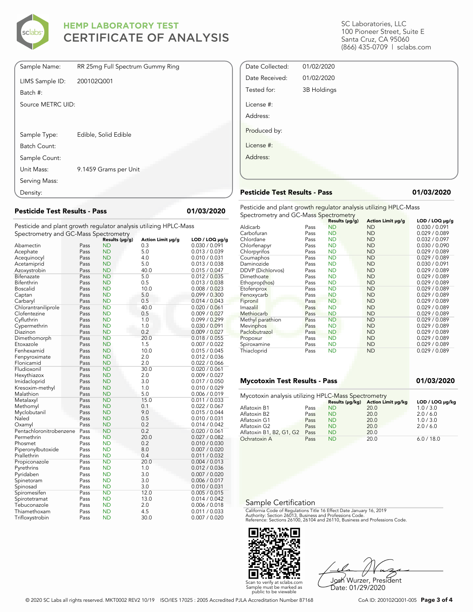

| Sample Name:      | RR 25mg Full Spectrum Gummy Ring |
|-------------------|----------------------------------|
| LIMS Sample ID:   | 200102Q001                       |
| Batch #:          |                                  |
| Source METRC UID: |                                  |
|                   |                                  |
|                   |                                  |
| Sample Type:      | Edible, Solid Edible             |
| Batch Count:      |                                  |
| Sample Count:     |                                  |
| Unit Mass:        | 9.1459 Grams per Unit            |
| Serving Mass:     |                                  |
| Density:          |                                  |

## **Pesticide Test Results - Pass 01/03/2020**

Pesticide and plant growth regulator analysis utilizing HPLC-Mass Spectrometry and GC-Mass Spectrometry

| spectrometry and GC-Mass spectrometry |      |                             |                   |                                      |
|---------------------------------------|------|-----------------------------|-------------------|--------------------------------------|
|                                       | Pass | Results (µg/g)<br><b>ND</b> | Action Limit µg/g | $LOD / LOQ \mu g/g$<br>0.030 / 0.091 |
| Abamectin                             |      |                             | 0.3               |                                      |
| Acephate                              | Pass | <b>ND</b>                   | 5.0               | 0.013 / 0.039                        |
| Acequinocyl                           | Pass | <b>ND</b>                   | 4.0               | 0.010 / 0.031                        |
| Acetamiprid                           | Pass | ND                          | 5.0               | 0.013 / 0.038                        |
| Azoxystrobin                          | Pass | <b>ND</b>                   | 40.0              | 0.015 / 0.047                        |
| Bifenazate                            | Pass | <b>ND</b>                   | 5.0               | 0.012 / 0.035                        |
| Bifenthrin                            | Pass | <b>ND</b>                   | 0.5               | 0.013 / 0.038                        |
| <b>Boscalid</b>                       | Pass | <b>ND</b>                   | 10.0              | 0.008 / 0.023                        |
| Captan                                | Pass | <b>ND</b>                   | 5.0               | 0.099 / 0.300                        |
| Carbaryl                              | Pass | <b>ND</b>                   | 0.5               | 0.014 / 0.043                        |
| Chlorantraniliprole                   | Pass | <b>ND</b>                   | 40.0              | 0.020 / 0.061                        |
| Clofentezine                          | Pass | <b>ND</b>                   | 0.5               | 0.009 / 0.027                        |
| Cyfluthrin                            | Pass | <b>ND</b>                   | 1.0               | 0.099 / 0.299                        |
| Cypermethrin                          | Pass | <b>ND</b>                   | 1.0               | 0.030 / 0.091                        |
| Diazinon                              | Pass | <b>ND</b>                   | 0.2               | 0.009 / 0.027                        |
| Dimethomorph                          | Pass | <b>ND</b>                   | 20.0              | 0.018 / 0.055                        |
| Etoxazole                             | Pass | <b>ND</b>                   | 1.5               | 0.007 / 0.022                        |
| Fenhexamid                            | Pass | <b>ND</b>                   | 10.0              | 0.015 / 0.045                        |
| Fenpyroximate                         | Pass | <b>ND</b>                   | 2.0               | 0.012 / 0.036                        |
| Flonicamid                            | Pass | <b>ND</b>                   | 2.0               | 0.022 / 0.066                        |
| Fludioxonil                           | Pass | <b>ND</b>                   | 30.0              | 0.020 / 0.061                        |
| Hexythiazox                           | Pass | ND                          | 2.0               | 0.009 / 0.027                        |
| Imidacloprid                          | Pass | <b>ND</b>                   | 3.0               | 0.017 / 0.050                        |
| Kresoxim-methyl                       | Pass | <b>ND</b>                   | 1.0               | 0.010 / 0.029                        |
| Malathion                             | Pass | <b>ND</b>                   | 5.0               | 0.006 / 0.019                        |
| Metalaxyl                             | Pass | <b>ND</b>                   | 15.0              | 0.011 / 0.033                        |
| Methomyl                              | Pass | <b>ND</b>                   | 0.1               | 0.022 / 0.067                        |
| Myclobutanil                          | Pass | <b>ND</b>                   | 9.0               | 0.015 / 0.044                        |
| Naled                                 | Pass | <b>ND</b>                   | 0.5               | 0.010 / 0.031                        |
| Oxamyl                                | Pass | <b>ND</b>                   | 0.2               | 0.014 / 0.042                        |
| Pentachloronitrobenzene               | Pass | <b>ND</b>                   | 0.2               | 0.020 / 0.061                        |
| Permethrin                            | Pass | <b>ND</b>                   | 20.0              | 0.027 / 0.082                        |
| Phosmet                               | Pass | <b>ND</b>                   | 0.2               | 0.010 / 0.030                        |
| Piperonylbutoxide                     | Pass | <b>ND</b>                   | 8.0               | 0.007 / 0.020                        |
| Prallethrin                           | Pass | <b>ND</b>                   | 0.4               | 0.011 / 0.032                        |
| Propiconazole                         | Pass | <b>ND</b>                   | 20.0              | 0.004 / 0.013                        |
| Pyrethrins                            | Pass | <b>ND</b>                   | 1.0               | 0.012 / 0.036                        |
| Pyridaben                             | Pass | <b>ND</b>                   | 3.0               | 0.007 / 0.020                        |
| Spinetoram                            | Pass | <b>ND</b>                   | 3.0               | 0.006 / 0.017                        |
| Spinosad                              | Pass | <b>ND</b>                   | 3.0               | 0.010 / 0.031                        |
| Spiromesifen                          | Pass | <b>ND</b>                   | 12.0              | 0.005 / 0.015                        |
| Spirotetramat                         | Pass | <b>ND</b>                   | 13.0              | 0.014 / 0.042                        |
| Tebuconazole                          | Pass | <b>ND</b>                   | 2.0               | 0.006 / 0.018                        |
| Thiamethoxam                          | Pass | <b>ND</b>                   | 4.5               | 0.011 / 0.033                        |
| Trifloxystrobin                       | Pass | <b>ND</b>                   | 30.0              | 0.007 / 0.020                        |

SC Laboratories, LLC 100 Pioneer Street, Suite E Santa Cruz, CA 95060 (866) 435-0709 | sclabs.com

| 01/02/2020  |  |
|-------------|--|
| 01/02/2020  |  |
| 3B Holdings |  |
|             |  |
|             |  |
|             |  |
|             |  |
|             |  |
|             |  |

## **Pesticide Test Results - Pass 01/03/2020**

Pesticide and plant growth regulator analysis utilizing HPLC-Mass Spectrometry and GC-Mass Spectrometry

| . 1               | −⊩   | Results (µg/g) | Action Limit µg/g | $LOD / LOQ \mu g/g$ |
|-------------------|------|----------------|-------------------|---------------------|
| Aldicarb          | Pass | <b>ND</b>      | <b>ND</b>         | 0.030 / 0.091       |
| Carbofuran        | Pass | <b>ND</b>      | <b>ND</b>         | 0.029 / 0.089       |
| Chlordane         | Pass | <b>ND</b>      | <b>ND</b>         | 0.032 / 0.097       |
| Chlorfenapyr      | Pass | <b>ND</b>      | <b>ND</b>         | 0.030 / 0.090       |
| Chlorpyrifos      | Pass | <b>ND</b>      | <b>ND</b>         | 0.029 / 0.089       |
| Coumaphos         | Pass | <b>ND</b>      | <b>ND</b>         | 0.029 / 0.089       |
| Daminozide        | Pass | <b>ND</b>      | <b>ND</b>         | 0.030 / 0.091       |
| DDVP (Dichlorvos) | Pass | <b>ND</b>      | <b>ND</b>         | 0.029 / 0.089       |
| Dimethoate        | Pass | <b>ND</b>      | <b>ND</b>         | 0.029 / 0.089       |
| Ethoprop(hos)     | Pass | <b>ND</b>      | <b>ND</b>         | 0.029 / 0.089       |
| Etofenprox        | Pass | <b>ND</b>      | <b>ND</b>         | 0.029 / 0.089       |
| Fenoxycarb        | Pass | <b>ND</b>      | <b>ND</b>         | 0.029 / 0.089       |
| Fipronil          | Pass | <b>ND</b>      | <b>ND</b>         | 0.029 / 0.089       |
| Imazalil          | Pass | <b>ND</b>      | <b>ND</b>         | 0.029 / 0.089       |
| Methiocarb        | Pass | <b>ND</b>      | <b>ND</b>         | 0.029 / 0.089       |
| Methyl parathion  | Pass | <b>ND</b>      | <b>ND</b>         | 0.029 / 0.089       |
| <b>Mevinphos</b>  | Pass | <b>ND</b>      | <b>ND</b>         | 0.029 / 0.089       |
| Paclobutrazol     | Pass | <b>ND</b>      | <b>ND</b>         | 0.029 / 0.089       |
| Propoxur          | Pass | <b>ND</b>      | <b>ND</b>         | 0.029 / 0.089       |
| Spiroxamine       | Pass | <b>ND</b>      | <b>ND</b>         | 0.029 / 0.089       |
| Thiacloprid       | Pass | <b>ND</b>      | <b>ND</b>         | 0.029 / 0.089       |

## **Mycotoxin Test Results - Pass 01/03/2020**

| Mycotoxin analysis utilizing HPLC-Mass Spectrometry |      |           |                                    |                 |
|-----------------------------------------------------|------|-----------|------------------------------------|-----------------|
|                                                     |      |           | Results (µg/kg) Action Limit µg/kg | LOD / LOQ µq/kq |
| Aflatoxin B1                                        | Pass | <b>ND</b> | 20.0                               | 1.0 / 3.0       |
| Aflatoxin B2                                        | Pass | <b>ND</b> | 20.0                               | 2.0 / 6.0       |
| Aflatoxin G1                                        | Pass | <b>ND</b> | 20.0                               | 1.0 / 3.0       |
| Aflatoxin G2                                        | Pass | <b>ND</b> | 20.0                               | 2.0 / 6.0       |
| Aflatoxin B1, B2, G1, G2                            | Pass | <b>ND</b> | 20.0                               |                 |
| Ochratoxin A                                        | Pass | ND        | 20.0                               | 6.0 / 18.0      |

## Sample Certification

California Code of Regulations Title 16 Effect Date January 16, 2019<br>Authority: Section 26013, Business and Professions Code.<br>Reference: Sections 26100, 26104 and 26110, Business and Professions Code.



Josh Wurzer, President Date: 01/29/2020

© 2020 SC Labs all rights reserved. MKT0002 REV2 10/19 ISO/IES 17025 : 2005 Accredited PJLA Accreditation Number 87168 CoA ID: 200102Q001-005 **Page 3 of 4**